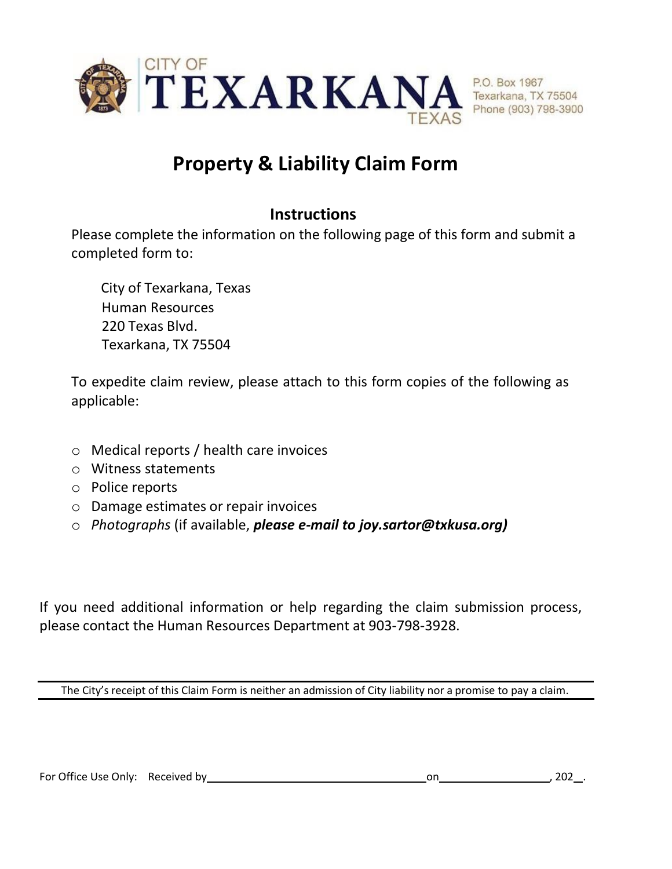

## **Property & Liability Claim Form**

## **Instructions**

Please complete the information on the following page of this form and submit a completed form to:

City of Texarkana, Texas Human Resources 220 Texas Blvd. Texarkana, TX 75504

To expedite claim review, please attach to this form copies of the following as applicable:

- o Medical reports / health care invoices
- o Witness statements
- o Police reports
- o Damage estimates or repair invoices
- o *Photographs* (if available, *please e-mail to joy.sartor@txkusa.org)*

If you need additional information or help regarding the claim submission process, please contact the Human Resources Department at 903-798-3928.

The City's receipt of this Claim Form is neither an admission of City liability nor a promise to pay a claim.